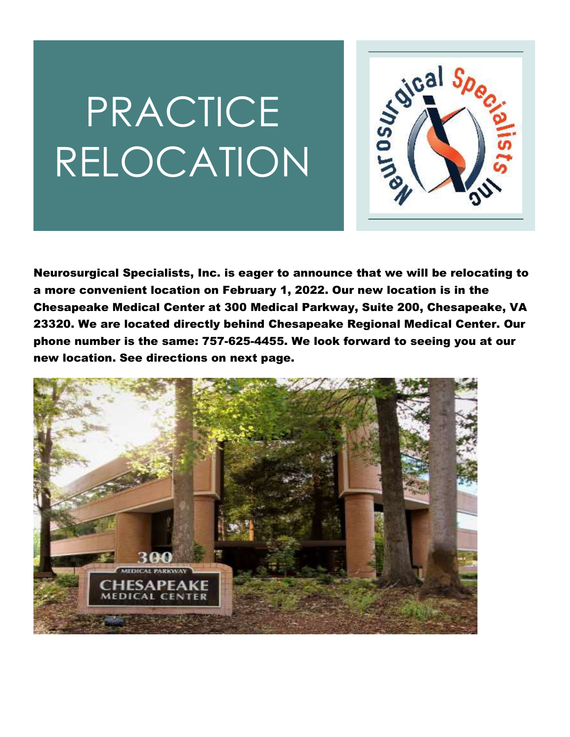# PRACTICE RELOCATION



Neurosurgical Specialists, Inc. is eager to announce that we will be relocating to a more convenient location on February 1, 2022. Our new location is in the Chesapeake Medical Center at 300 Medical Parkway, Suite 200, Chesapeake, VA 23320. We are located directly behind Chesapeake Regional Medical Center. Our phone number is the same: 757-625-4455. We look forward to seeing you at our new location. See directions on next page.